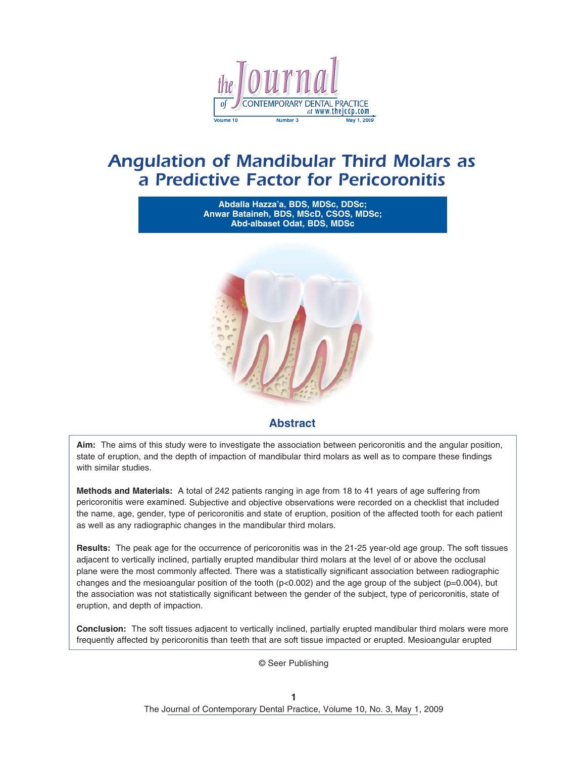

# *Angulation of Mandibular Third Molars as a Predictive Factor for Pericoronitis*

**Abdalla Hazza'a, BDS, MDSc, DDSc; Anwar Bataineh, BDS, MScD, CSOS, MDSc; Abd-albaset Odat, BDS, MDSc**



# **Abstract**

**Aim:** The aims of this study were to investigate the association between pericoronitis and the angular position, state of eruption, and the depth of impaction of mandibular third molars as well as to compare these findings with similar studies.

**Methods and Materials:** A total of 242 patients ranging in age from 18 to 41 years of age suffering from pericoronitis were examined. Subjective and objective observations were recorded on a checklist that included the name, age, gender, type of pericoronitis and state of eruption, position of the affected tooth for each patient as well as any radiographic changes in the mandibular third molars.

**Results:** The peak age for the occurrence of pericoronitis was in the 21-25 year-old age group. The soft tissues adjacent to vertically inclined, partially erupted mandibular third molars at the level of or above the occlusal plane were the most commonly affected. There was a statistically significant association between radiographic changes and the mesioangular position of the tooth ( $p<0.002$ ) and the age group of the subject ( $p=0.004$ ), but the association was not statistically significant between the gender of the subject, type of pericoronitis, state of eruption, and depth of impaction.

**Conclusion:** The soft tissues adjacent to vertically inclined, partially erupted mandibular third molars were more frequently affected by pericoronitis than teeth that are soft tissue impacted or erupted. Mesioangular erupted

© Seer Publishing

**1** The Journal of Contemporary Dental Practice, Volume 10, No. 3, May 1, 2009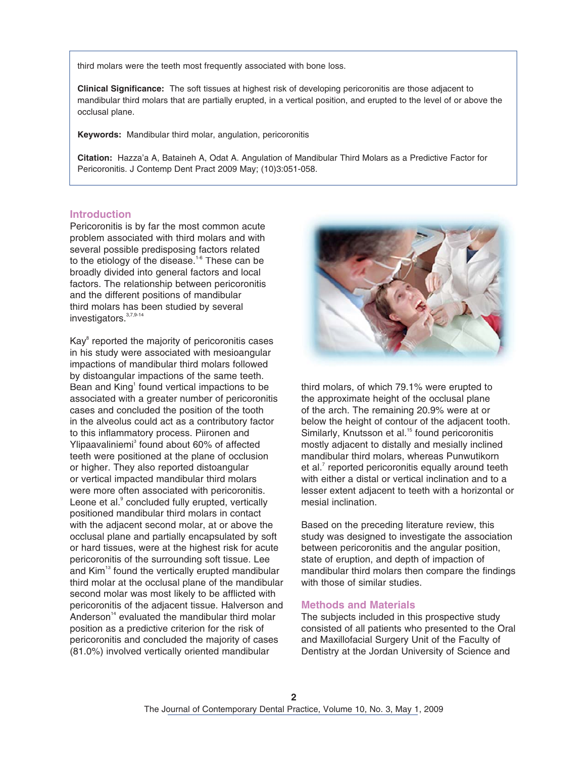third molars were the teeth most frequently associated with bone loss.

**Clinical Significance:** The soft tissues at highest risk of developing pericoronitis are those adjacent to mandibular third molars that are partially erupted, in a vertical position, and erupted to the level of or above the occlusal plane.

**Keywords:** Mandibular third molar, angulation, pericoronitis

**Citation:** Hazza'a A, Bataineh A, Odat A. Angulation of Mandibular Third Molars as a Predictive Factor for Pericoronitis. J Contemp Dent Pract 2009 May; (10)3:051-058.

# **Introduction**

Pericoronitis is by far the most common acute problem associated with third molars and with several possible predisposing factors related to the etiology of the disease.<sup>1-6</sup> These can be broadly divided into general factors and local factors. The relationship between pericoronitis and the different positions of mandibular third molars has been studied by several investigators.<sup>[3,7,9-14](#page-9-0)</sup>

Kay<sup>[8](#page-9-0)</sup> reported the majority of pericoronitis cases in his study were associated with mesioangular impactions of mandibular third molars followed by distoangular impactions of the same teeth. Bean and Kin[g](#page-9-0)<sup>1</sup> found vertical impactions to be associated with a greater number of pericoronitis cases and concluded the position of the tooth in the alveolus could act as a contributory factor to this inflammatory process. Piironen and Ylipaavaliniemi<sup>[3](#page-9-0)</sup> found about 60% of affected teeth were positioned at the plane of occlusion or higher. They also reported distoangular or vertical impacted mandibular third molars were more often associated with pericoronitis. Leone et al.<sup>9</sup> [c](#page-9-0)oncluded fully erupted, vertically positioned mandibular third molars in contact with the adjacent second molar, at or above the occlusal plane and partially encapsulated by soft or hard tissues, were at the highest risk for acute pericoronitis of the surrounding soft tissue. Lee and Kim<sup>13</sup> found the vertically erupted mandibular third molar at the occlusal plane of the mandibular second molar was most likely to be afflicted with pericoronitis of the adjacent tissue. Halverson and Anderson $14$  evaluated the mandibular third molar position as a predictive criterion for the risk of pericoronitis and concluded the majority of cases (81.0%) involved vertically oriented mandibular



third molars, of which 79.1% were erupted to the approximate height of the occlusal plane of the arch. The remaining 20.9% were at or below the height of contour of the adjacent tooth. Similarly, Knutsson et al.<sup>15</sup> found pericoronitis mostly adjacent to distally and mesially inclined mandibular third molars, whereas Punwutikorn et a[l.](#page-9-0)<sup>7</sup> reported pericoronitis equally around teeth with either a distal or vertical inclination and to a lesser extent adjacent to teeth with a horizontal or mesial inclination.

Based on the preceding literature review, this study was designed to investigate the association between pericoronitis and the angular position, state of eruption, and depth of impaction of mandibular third molars then compare the findings with those of similar studies.

# **Methods and Materials**

The subjects included in this prospective study consisted of all patients who presented to the Oral and Maxillofacial Surgery Unit of the Faculty of Dentistry at the Jordan University of Science and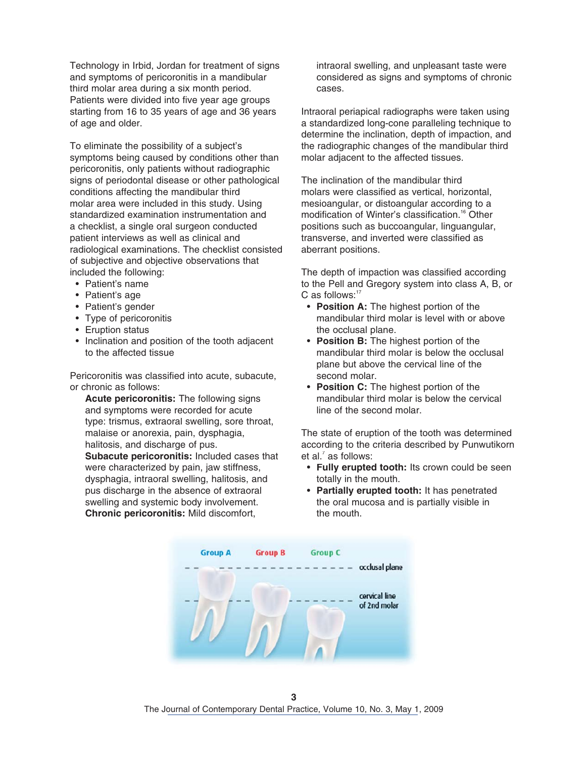Technology in Irbid, Jordan for treatment of signs and symptoms of pericoronitis in a mandibular third molar area during a six month period. Patients were divided into five year age groups starting from 16 to 35 years of age and 36 years of age and older.

To eliminate the possibility of a subject's symptoms being caused by conditions other than pericoronitis, only patients without radiographic signs of periodontal disease or other pathological conditions affecting the mandibular third molar area were included in this study. Using standardized examination instrumentation and a checklist, a single oral surgeon conducted patient interviews as well as clinical and radiological examinations. The checklist consisted of subjective and objective observations that included the following:

- Patient's name
- Patient's age
- Patient's gender
- Type of pericoronitis
- Eruption status
- Inclination and position of the tooth adjacent to the affected tissue

Pericoronitis was classified into acute, subacute, or chronic as follows:

 **Acute pericoronitis:** The following signs and symptoms were recorded for acute type: trismus, extraoral swelling, sore throat, malaise or anorexia, pain, dysphagia, halitosis, and discharge of pus.

**Subacute pericoronitis:** Included cases that were characterized by pain, jaw stiffness, dysphagia, intraoral swelling, halitosis, and pus discharge in the absence of extraoral swelling and systemic body involvement.  **Chronic pericoronitis:** Mild discomfort,

intraoral swelling, and unpleasant taste were considered as signs and symptoms of chronic cases.

Intraoral periapical radiographs were taken using a standardized long-cone paralleling technique to determine the inclination, depth of impaction, and the radiographic changes of the mandibular third molar adjacent to the affected tissues.

The inclination of the mandibular third molars were classified as vertical, horizontal, mesioangular, or distoangular according to a modification of Winter's classification.<sup>16</sup> Other positions such as buccoangular, linguangular, transverse, and inverted were classified as aberrant positions.

The depth of impaction was classified according to the Pell and Gregory system into class A, B, or C as follows:<sup>[17](#page-9-0)</sup>

- **Position A:** The highest portion of the mandibular third molar is level with or above the occlusal plane.
- **Position B:** The highest portion of the mandibular third molar is below the occlusal plane but above the cervical line of the second molar.
- **Position C:** The highest portion of the mandibular third molar is below the cervical line of the second molar.

The state of eruption of the tooth was determined according to the criteria described by Punwutikorn et al.<sup>[7](#page-9-0)</sup> as follows:

- **Fully erupted tooth:** Its crown could be seen totally in the mouth.
- **Partially erupted tooth:** It has penetrated the oral mucosa and is partially visible in the mouth.

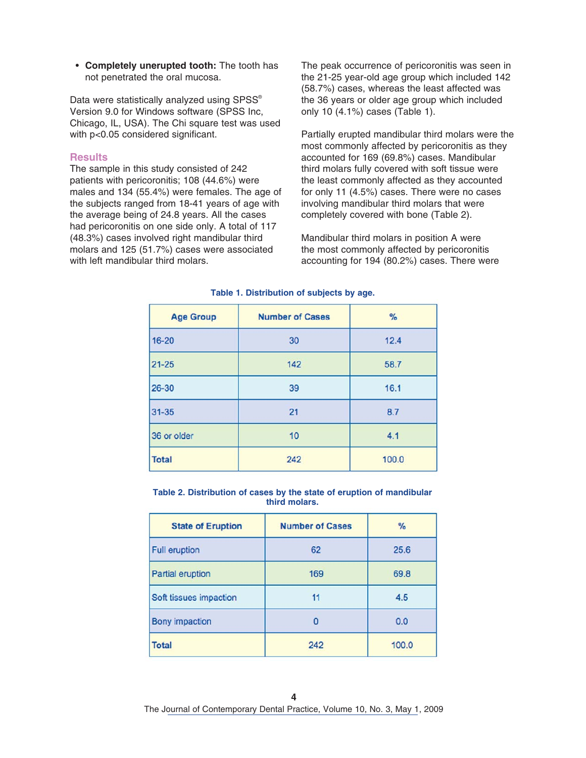• **Completely unerupted tooth:** The tooth has not penetrated the oral mucosa.

Data were statistically analyzed using SPSS® Version 9.0 for Windows software (SPSS Inc, Chicago, IL, USA). The Chi square test was used with p<0.05 considered significant.

# **Results**

The sample in this study consisted of 242 patients with pericoronitis; 108 (44.6%) were males and 134 (55.4%) were females. The age of the subjects ranged from 18-41 years of age with the average being of 24.8 years. All the cases had pericoronitis on one side only. A total of 117 (48.3%) cases involved right mandibular third molars and 125 (51.7%) cases were associated with left mandibular third molars.

The peak occurrence of pericoronitis was seen in the 21-25 year-old age group which included 142 (58.7%) cases, whereas the least affected was the 36 years or older age group which included only 10 (4.1%) cases (Table 1).

Partially erupted mandibular third molars were the most commonly affected by pericoronitis as they accounted for 169 (69.8%) cases. Mandibular third molars fully covered with soft tissue were the least commonly affected as they accounted for only 11 (4.5%) cases. There were no cases involving mandibular third molars that were completely covered with bone (Table 2).

Mandibular third molars in position A were the most commonly affected by pericoronitis accounting for 194 (80.2%) cases. There were

| <b>Age Group</b> | <b>Number of Cases</b> | $\%$  |  |
|------------------|------------------------|-------|--|
| $16 - 20$        | 30                     | 12.4  |  |
| $21 - 25$        | 142                    | 58.7  |  |
| $26 - 30$        | 39                     | 16.1  |  |
| $31 - 35$        | 21                     | 8.7   |  |
| 36 or older      | 10                     | 4.1   |  |
| <b>Total</b>     | 242                    | 100.0 |  |

#### **Table 1. Distribution of subjects by age.**

#### **Table 2. Distribution of cases by the state of eruption of mandibular third molars.**

| <b>State of Eruption</b> | <b>Number of Cases</b> | %     |
|--------------------------|------------------------|-------|
| <b>Full eruption</b>     | 62                     | 25.6  |
| Partial eruption         | 169                    | 69.8  |
| Soft tissues impaction   | 11                     | 4.5   |
| Bony impaction           | n                      | 0.0   |
| <b>Total</b>             | 242                    | 100.0 |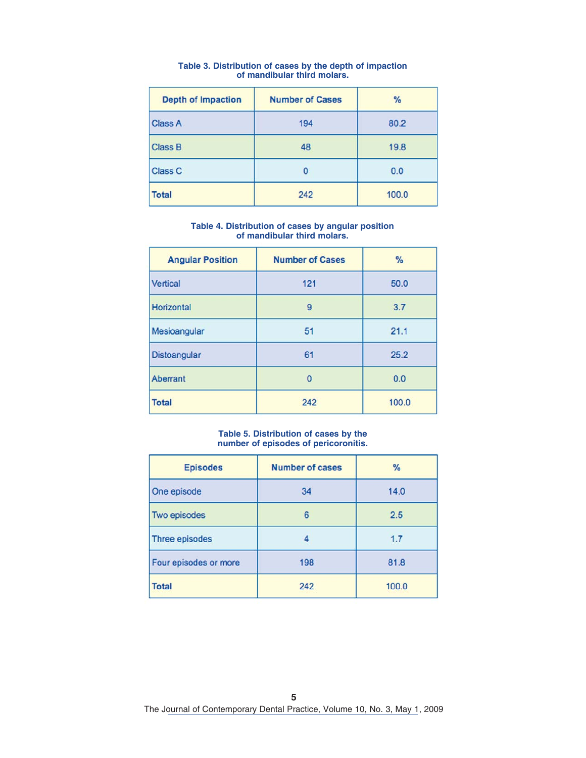| <b>Depth of Impaction</b> | <b>Number of Cases</b> | $\frac{9}{6}$ |
|---------------------------|------------------------|---------------|
| <b>Class A</b>            | 194                    | 80.2          |
| <b>Class B</b>            | 48                     | 19.8          |
| <b>Class C</b>            | 0                      | 0.0           |
| <b>Total</b>              | 242                    | 100.0         |

#### **Table 3. Distribution of cases by the depth of impaction of mandibular third molars.**

#### **Table 4. Distribution of cases by angular position of mandibular third molars.**

| <b>Angular Position</b> | <b>Number of Cases</b> | $\%$  |
|-------------------------|------------------------|-------|
| Vertical                | 121                    | 50.0  |
| Horizontal              | 9                      | 3.7   |
| Mesioangular            | 51                     | 21.1  |
| Distoangular            | 61                     | 25.2  |
| Aberrant                | $\Omega$               | 0.0   |
| <b>Total</b>            | 242                    | 100.0 |

#### **Table 5. Distribution of cases by the number of episodes of pericoronitis.**

| <b>Episodes</b>       | <b>Number of cases</b> | $\frac{9}{6}$ |
|-----------------------|------------------------|---------------|
| One episode           | 34                     | 14.0          |
| Two episodes          | 6                      | 2.5           |
| Three episodes        | Δ                      | 1.7           |
| Four episodes or more | 198                    | 81.8          |
| <b>Total</b>          | 242                    | 100.0         |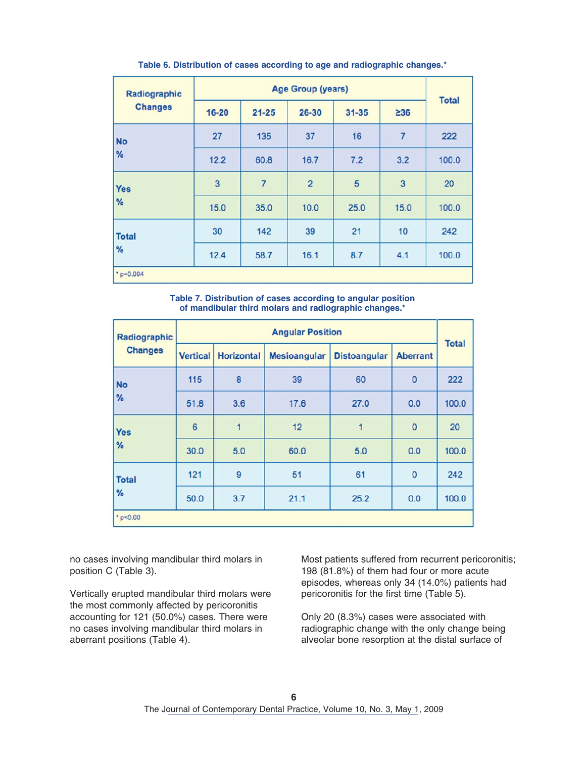| Radiographic<br><b>Changes</b> | Age Group (years) |                |                |           |                | <b>Total</b> |
|--------------------------------|-------------------|----------------|----------------|-----------|----------------|--------------|
|                                | $16 - 20$         | $21 - 25$      | 26-30          | $31 - 35$ | $\geq 36$      |              |
| <b>No</b><br>%                 | 27                | 135            | 37             | 16        | $\overline{7}$ | 222          |
|                                | 12.2              | 60.8           | 16.7           | 7.2       | 3.2            | 100.0        |
| <b>Yes</b><br>%                | 3                 | $\overline{7}$ | $\overline{2}$ | 5         | 3              | 20           |
|                                | 15.0              | 35.0           | 10.0           | 25.0      | 15.0           | 100.0        |
| <b>Total</b><br>%              | 30                | 142            | 39             | 21        | 10             | 242          |
|                                | 12.4              | 58.7           | 16.1           | 8.7       | 4.1            | 100.0        |
| $"p=0.004$                     |                   |                |                |           |                |              |

**Table 6. Distribution of cases according to age and radiographic changes.\***

**Table 7. Distribution of cases according to angular position of mandibular third molars and radiographic changes.\***

| Radiographic<br><b>Changes</b> | <b>Angular Position</b> |                   |                     |                     |                 |              |
|--------------------------------|-------------------------|-------------------|---------------------|---------------------|-----------------|--------------|
|                                | <b>Vertical</b>         | <b>Horizontal</b> | <b>Mesioangular</b> | <b>Distoangular</b> | <b>Aberrant</b> | <b>Total</b> |
| <b>No</b>                      | 115                     | 8                 | 39                  | 60                  | $\mathbf{0}$    | 222          |
| %                              | 51.8                    | 3.6               | 17.6                | 27.0                | 0.0             | 100.0        |
| <b>Yes</b><br>%                | 6                       | 1                 | 12                  | 1                   | $\mathbf 0$     | 20           |
|                                | 30.0                    | 5.0               | 60.0                | 5.0                 | 0.0             | 100.0        |
| <b>Total</b><br>%              | 121                     | 9                 | 51                  | 61                  | 0               | 242          |
|                                | 50.0                    | 3.7               | 21.1                | 25.2                | 0.0             | 100.0        |
| "p<0.00                        |                         |                   |                     |                     |                 |              |

no cases involving mandibular third molars in position C (Table 3).

Vertically erupted mandibular third molars were the most commonly affected by pericoronitis accounting for 121 (50.0%) cases. There were no cases involving mandibular third molars in aberrant positions (Table 4).

Most patients suffered from recurrent pericoronitis; 198 (81.8%) of them had four or more acute episodes, whereas only 34 (14.0%) patients had pericoronitis for the first time (Table 5).

Only 20 (8.3%) cases were associated with radiographic change with the only change being alveolar bone resorption at the distal surface of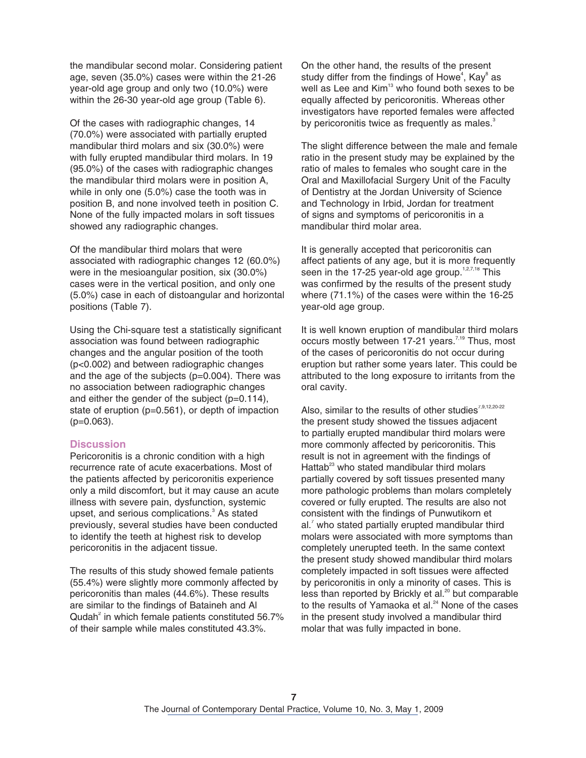the mandibular second molar. Considering patient age, seven (35.0%) cases were within the 21-26 year-old age group and only two (10.0%) were within the 26-30 year-old age group (Table 6).

Of the cases with radiographic changes, 14 (70.0%) were associated with partially erupted mandibular third molars and six (30.0%) were with fully erupted mandibular third molars. In 19 (95.0%) of the cases with radiographic changes the mandibular third molars were in position A, while in only one (5.0%) case the tooth was in position B, and none involved teeth in position C. None of the fully impacted molars in soft tissues showed any radiographic changes.

Of the mandibular third molars that were associated with radiographic changes 12 (60.0%) were in the mesioangular position, six (30.0%) cases were in the vertical position, and only one (5.0%) case in each of distoangular and horizontal positions (Table 7).

Using the Chi-square test a statistically significant association was found between radiographic changes and the angular position of the tooth (p<0.002) and between radiographic changes and the age of the subjects (p=0.004). There was no association between radiographic changes and either the gender of the subject (p=0.114), state of eruption (p=0.561), or depth of impaction (p=0.063).

# **Discussion**

Pericoronitis is a chronic condition with a high recurrence rate of acute exacerbations. Most of the patients affected by pericoronitis experience only a mild discomfort, but it may cause an acute illness with severe pain, dysfunction, systemic upset, and serious complications.<sup>3</sup> As stated previously, several studies have been conducted to identify the teeth at highest risk to develop pericoronitis in the adjacent tissue.

The results of this study showed female patients (55.4%) were slightly more commonly affected by pericoronitis than males (44.6%). These results are similar to the findings of Bataineh and Al Qudah<sup>2</sup> in which female patients constituted 56.7% of their sample while males constituted 43.3%.

On the other hand, the results of the pres[ent](#page-9-0) study differ from the findings of Howe<sup>4</sup>, Kay $^8$  as well as Lee and Kim<sup>13</sup> who found both sexes to be equally affected by pericoronitis. Whereas other investigators have reported females were affected by pericoronitis twice as frequently as males.<sup>3</sup>

The slight difference between the male and female ratio in the present study may be explained by the ratio of males to females who sought care in the Oral and Maxillofacial Surgery Unit of the Faculty of Dentistry at the Jordan University of Science and Technology in Irbid, Jordan for treatment of signs and symptoms of pericoronitis in a mandibular third molar area.

It is generally accepted that pericoronitis can affect patients of any age, but it is more frequently seen in the 17-25 year-old age group.<sup>1,2,7,18</sup> This was confirmed by the results of the present study where (71.1%) of the cases were within the 16-25 year-old age group.

It is well known eruption of mandibular third molars occurs mostly between 17-21 years.<sup>[7,19](#page-9-0)</sup> Thus, most of the cases of pericoronitis do not occur during eruption but rather some years later. This could be attributed to the long exposure to irritants from the oral cavity.

Also, similar to the results of other studies<sup>7,9,12,20-22</sup> the present study showed the tissues adjacent to partially erupted mandibular third molars were more commonly affected by pericoronitis. This result is not in agreement with the findings of Hattab $^{23}$  who stated mandibular third molars partially covered by soft tissues presented many more pathologic problems than molars completely covered or fully erupted. The results are also not consistent with the findings of Punwutikorn et  $al.7$  $al.7$  who stated partially erupted mandibular third molars were associated with more symptoms than completely unerupted teeth. In the same context the present study showed mandibular third molars completely impacted in soft tissues were affected by pericoronitis in only a minority of cases. This is less than reported by Brickly et al.<sup>20</sup> but comparable to the results of Yamaoka et al.<sup>24</sup> None of the cases in the present study involved a mandibular third molar that was fully impacted in bone.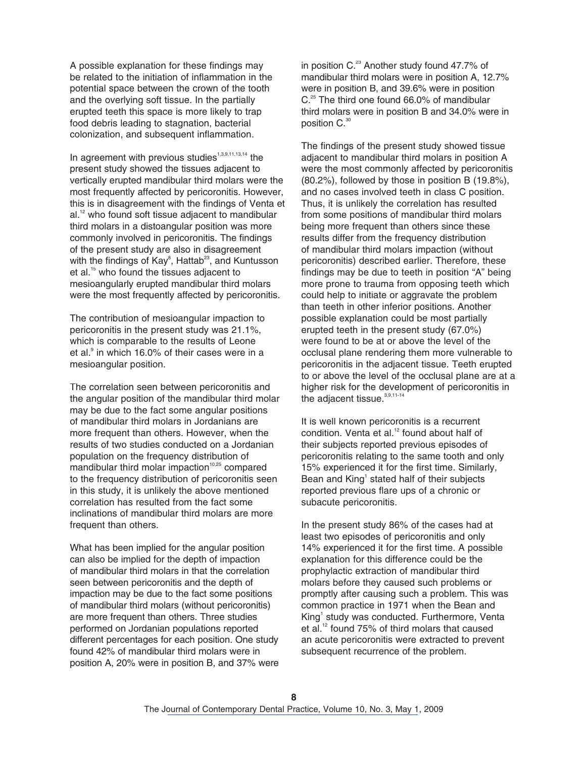A possible explanation for these findings may be related to the initiation of inflammation in the potential space between the crown of the tooth and the overlying soft tissue. In the partially erupted teeth this space is more likely to trap food debris leading to stagnation, bacterial colonization, and subsequent inflammation.

In agreement with previous studies<sup>1,3,9,11,13,14</sup> the present study showed the tissues adjacent to vertically erupted mandibular third molars were the most frequently affected by pericoronitis. However, this is in disagreement with the findings of Venta et al.<sup>12</sup> who found soft tissue adjacent to mandibular third molars in a distoangular position was more commonly involved in pericoronitis. The findings of the present study are also in disagreement with the findings of  $\text{Kay}^8$  $\text{Kay}^8$ , Hattab<sup>23</sup>, and Kuntusson et al.<sup>15</sup> who found the tissues adjacent to mesioangularly erupted mandibular third molars were the most frequently affected by pericoronitis.

The contribution of mesioangular impaction to pericoronitis in the present study was 21.1%, which is comparable to the results of Leone et al.<sup>[9](#page-9-0)</sup> in which 16.0% of their cases were in a mesioangular position.

The correlation seen between pericoronitis and the angular position of the mandibular third molar may be due to the fact some angular positions of mandibular third molars in Jordanians are more frequent than others. However, when the results of two studies conducted on a Jordanian population on the frequency distribution of mandibular third molar impaction<sup>[10,25](#page-9-0)</sup> compared to the frequency distribution of pericoronitis seen in this study, it is unlikely the above mentioned correlation has resulted from the fact some inclinations of mandibular third molars are more frequent than others.

What has been implied for the angular position can also be implied for the depth of impaction of mandibular third molars in that the correlation seen between pericoronitis and the depth of impaction may be due to the fact some positions of mandibular third molars (without pericoronitis) are more frequent than others. Three studies performed on Jordanian populations reported different percentages for each position. One study found 42% of mandibular third molars were in position A, 20% were in position B, and 37% were

in position C.<sup>23</sup> Another study found 47.7% of mandibular third molars were in position A, 12.7% were in position B, and 39.6% were in position C.<sup>[25](#page-9-0)</sup> The third one found 66.0% of mandibular third molars were in position B and 34.0% were in position C. [30](#page-10-0)

The findings of the present study showed tissue adjacent to mandibular third molars in position A were the most commonly affected by pericoronitis (80.2%), followed by those in position B (19.8%), and no cases involved teeth in class C position. Thus, it is unlikely the correlation has resulted from some positions of mandibular third molars being more frequent than others since these results differ from the frequency distribution of mandibular third molars impaction (without pericoronitis) described earlier. Therefore, these findings may be due to teeth in position "A" being more prone to trauma from opposing teeth which could help to initiate or aggravate the problem than teeth in other inferior positions. Another possible explanation could be most partially erupted teeth in the present study (67.0%) were found to be at or above the level of the occlusal plane rendering them more vulnerable to pericoronitis in the adjacent tissue. Teeth erupted to or above the level of the occlusal plane are at a higher risk for the development of pericoronitis in the adjacent tissue.<sup>[3,9,11-14](#page-9-0)</sup>

It is well known pericoronitis is a recurrent condition. Venta et al.<sup>12</sup> found about half of their subjects reported previous episodes of pericoronitis relating to the same tooth and only 15% experienced it for the first time. Similarly, Bean and King<sup>1</sup> stated half of their subjects reported previous flare ups of a chronic or subacute pericoronitis.

In the present study 86% of the cases had at least two episodes of pericoronitis and only 14% experienced it for the first time. A possible explanation for this difference could be the prophylactic extraction of mandibular third molars before they caused such problems or promptly after causing such a problem. This was common practice in 1971 when the Bean and King<sup>[1](#page-9-0)</sup> study was conducted. Furthermore, Venta et al.<sup>12</sup> found 75% of third molars that caused an acute pericoronitis were extracted to prevent subsequent recurrence of the problem.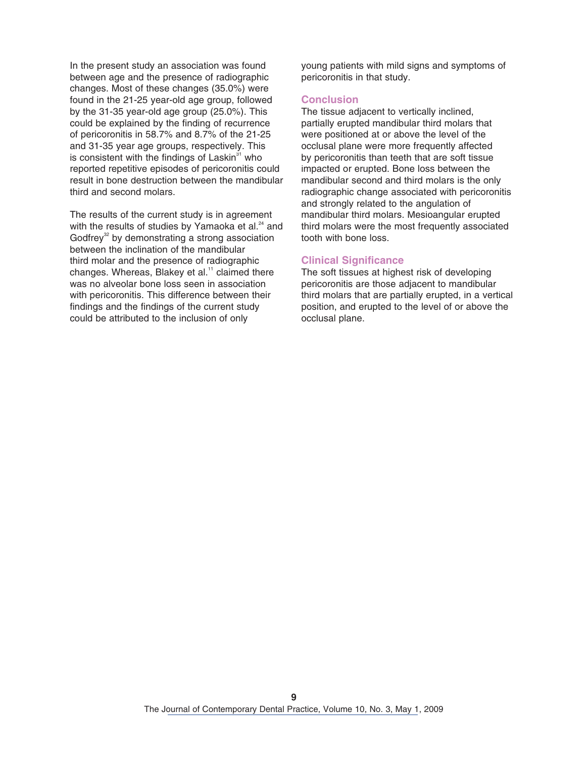In the present study an association was found between age and the presence of radiographic changes. Most of these changes (35.0%) were found in the 21-25 year-old age group, followed by the 31-35 year-old age group (25.0%). This could be explained by the finding of recurrence of pericoronitis in 58.7% and 8.7% of the 21-25 and 31-35 year age groups, respectively. This is consistent with the findings of Laskin $31$  who reported repetitive episodes of pericoronitis could result in bone destruction between the mandibular third and second molars.

The results of the current study is in agreement with the results of studies by Yamaoka et al.<sup>24</sup> and Godfrey<sup>32</sup> by demonstrating a strong association between the inclination of the mandibular third molar and the presence of radiographic changes. Whereas, Blakey et al.<sup>[11](#page-9-0)</sup> claimed there was no alveolar bone loss seen in association with pericoronitis. This difference between their findings and the findings of the current study could be attributed to the inclusion of only

young patients with mild signs and symptoms of pericoronitis in that study.

### **Conclusion**

The tissue adjacent to vertically inclined, partially erupted mandibular third molars that were positioned at or above the level of the occlusal plane were more frequently affected by pericoronitis than teeth that are soft tissue impacted or erupted. Bone loss between the mandibular second and third molars is the only radiographic change associated with pericoronitis and strongly related to the angulation of mandibular third molars. Mesioangular erupted third molars were the most frequently associated tooth with bone loss.

#### **Clinical Significance**

The soft tissues at highest risk of developing pericoronitis are those adjacent to mandibular third molars that are partially erupted, in a vertical position, and erupted to the level of or above the occlusal plane.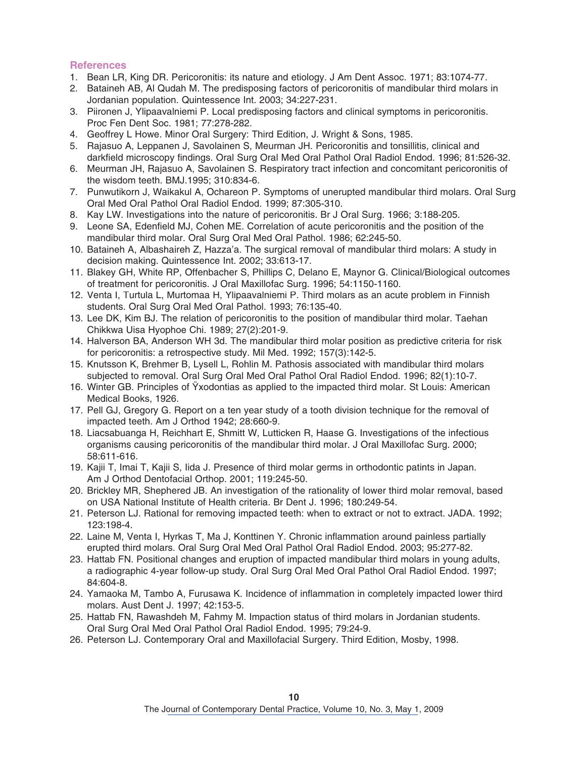# <span id="page-9-0"></span>**References**

- 1. Bean LR, King DR. Pericoronitis: its nature and etiology. J Am Dent Assoc. 1971; 83:1074-77.
- 2. Bataineh AB, Al Qudah M. The predisposing factors of pericoronitis of mandibular third molars in Jordanian population. Quintessence Int. 2003; 34:227-231.
- 3. Piironen J, Ylipaavalniemi P. Local predisposing factors and clinical symptoms in pericoronitis. Proc Fen Dent Soc. 1981; 77:278-282.
- 4. Geoffrey L Howe. Minor Oral Surgery: Third Edition, J. Wright & Sons, 1985.
- 5. Rajasuo A, Leppanen J, Savolainen S, Meurman JH. Pericoronitis and tonsillitis, clinical and darkfield microscopy findings. Oral Surg Oral Med Oral Pathol Oral Radiol Endod. 1996; 81:526-32.
- 6. Meurman JH, Rajasuo A, Savolainen S. Respiratory tract infection and concomitant pericoronitis of the wisdom teeth. BMJ.1995; 310:834-6.
- 7. Punwutikorn J, Waikakul A, Ochareon P. Symptoms of unerupted mandibular third molars. Oral Surg Oral Med Oral Pathol Oral Radiol Endod. 1999; 87:305-310.
- 8. Kay LW. Investigations into the nature of pericoronitis. Br J Oral Surg. 1966; 3:188-205.
- 9. Leone SA, Edenfield MJ, Cohen ME. Correlation of acute pericoronitis and the position of the mandibular third molar. Oral Surg Oral Med Oral Pathol. 1986; 62:245-50.
- 10. Bataineh A, Albashaireh Z, Hazza'a. The surgical removal of mandibular third molars: A study in decision making. Quintessence Int. 2002; 33:613-17.
- 11. Blakey GH, White RP, Offenbacher S, Phillips C, Delano E, Maynor G. Clinical/Biological outcomes of treatment for pericoronitis. J Oral Maxillofac Surg. 1996; 54:1150-1160.
- 12. Venta I, Turtula L, Murtomaa H, Ylipaavalniemi P. Third molars as an acute problem in Finnish students. Oral Surg Oral Med Oral Pathol. 1993; 76:135-40.
- 13. Lee DK, Kim BJ. The relation of pericoronitis to the position of mandibular third molar. Taehan Chikkwa Uisa Hyophoe Chi. 1989; 27(2):201-9.
- 14. Halverson BA, Anderson WH 3d. The mandibular third molar position as predictive criteria for risk for pericoronitis: a retrospective study. Mil Med. 1992; 157(3):142-5.
- 15. Knutsson K, Brehmer B, Lysell L, Rohlin M. Pathosis associated with mandibular third molars subjected to removal. Oral Surg Oral Med Oral Pathol Oral Radiol Endod. 1996; 82(1):10-7.
- 16. Winter GB. Principles of Ÿxodontias as applied to the impacted third molar. St Louis: American Medical Books, 1926.
- 17. Pell GJ, Gregory G. Report on a ten year study of a tooth division technique for the removal of impacted teeth. Am J Orthod 1942; 28:660-9.
- 18. Liacsabuanga H, Reichhart E, Shmitt W, Lutticken R, Haase G. Investigations of the infectious organisms causing pericoronitis of the mandibular third molar. J Oral Maxillofac Surg. 2000; 58:611-616.
- 19. Kajii T, Imai T, Kajii S, Iida J. Presence of third molar germs in orthodontic patints in Japan. Am J Orthod Dentofacial Orthop. 2001; 119:245-50.
- 20. Brickley MR, Shephered JB. An investigation of the rationality of lower third molar removal, based on USA National Institute of Health criteria. Br Dent J. 1996; 180:249-54.
- 21. Peterson LJ. Rational for removing impacted teeth: when to extract or not to extract. JADA. 1992; 123:198-4.
- 22. Laine M, Venta I, Hyrkas T, Ma J, Konttinen Y. Chronic inflammation around painless partially erupted third molars. Oral Surg Oral Med Oral Pathol Oral Radiol Endod. 2003; 95:277-82.
- 23. Hattab FN. Positional changes and eruption of impacted mandibular third molars in young adults, a radiographic 4-year follow-up study. Oral Surg Oral Med Oral Pathol Oral Radiol Endod. 1997; 84:604-8.
- 24. Yamaoka M, Tambo A, Furusawa K. Incidence of inflammation in completely impacted lower third molars. Aust Dent J. 1997; 42:153-5.
- 25. Hattab FN, Rawashdeh M, Fahmy M. Impaction status of third molars in Jordanian students. Oral Surg Oral Med Oral Pathol Oral Radiol Endod. 1995; 79:24-9.
- 26. Peterson LJ. Contemporary Oral and Maxillofacial Surgery. Third Edition, Mosby, 1998.